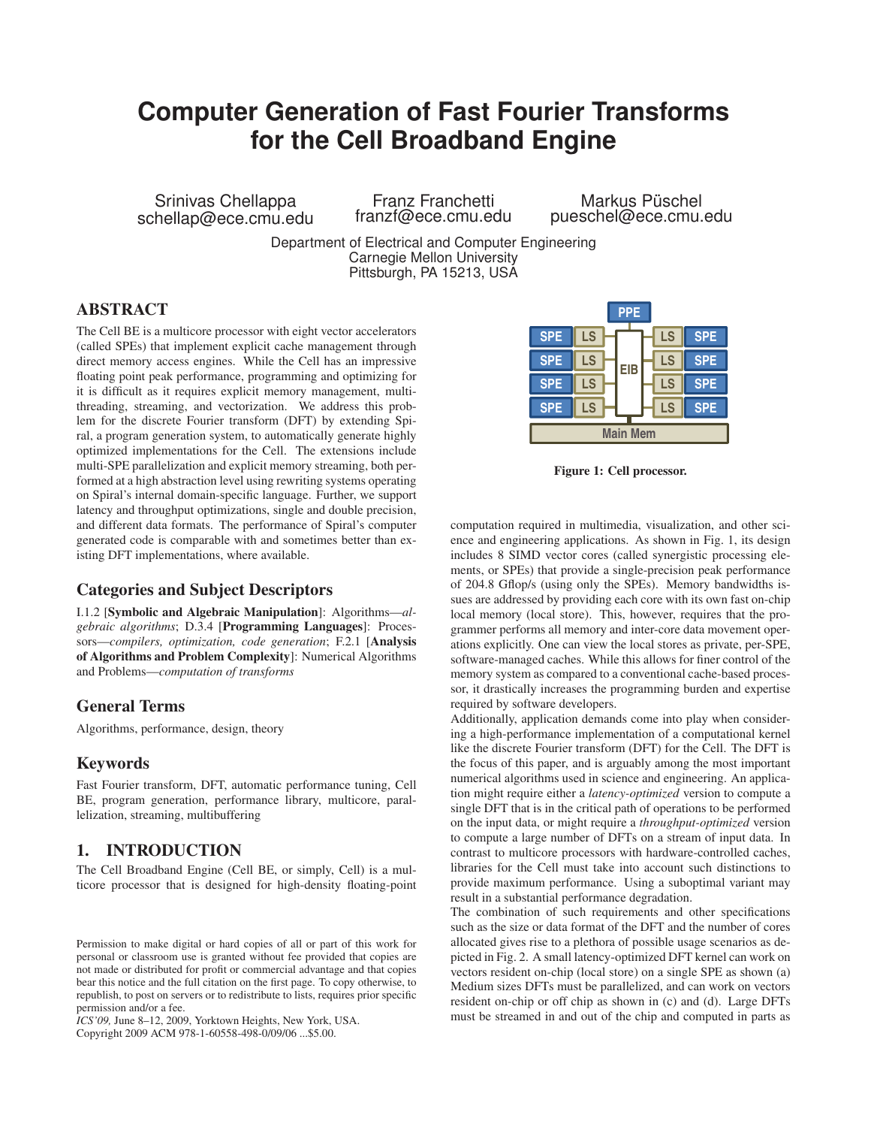# **Computer Generation of Fast Fourier Transforms for the Cell Broadband Engine**

Srinivas Chellappa schellap@ece.cmu.edu

Franz Franchetti franzf@ece.cmu.edu

Markus Püschel pueschel@ece.cmu.edu

Department of Electrical and Computer Engineering Carnegie Mellon University Pittsburgh, PA 15213, USA

# **ABSTRACT**

The Cell BE is a multicore processor with eight vector accelerators (called SPEs) that implement explicit cache management through direct memory access engines. While the Cell has an impressive floating point peak performance, programming and optimizing for it is difficult as it requires explicit memory management, multithreading, streaming, and vectorization. We address this problem for the discrete Fourier transform (DFT) by extending Spiral, a program generation system, to automatically generate highly optimized implementations for the Cell. The extensions include multi-SPE parallelization and explicit memory streaming, both performed at a high abstraction level using rewriting systems operating on Spiral's internal domain-specific language. Further, we support latency and throughput optimizations, single and double precision, and different data formats. The performance of Spiral's computer generated code is comparable with and sometimes better than existing DFT implementations, where available.

#### **Categories and Subject Descriptors**

I.1.2 [**Symbolic and Algebraic Manipulation**]: Algorithms—*algebraic algorithms*; D.3.4 [**Programming Languages**]: Processors—*compilers, optimization, code generation*; F.2.1 [**Analysis of Algorithms and Problem Complexity**]: Numerical Algorithms and Problems—*computation of transforms*

#### **General Terms**

Algorithms, performance, design, theory

### **Keywords**

Fast Fourier transform, DFT, automatic performance tuning, Cell BE, program generation, performance library, multicore, parallelization, streaming, multibuffering

### **1. INTRODUCTION**

The Cell Broadband Engine (Cell BE, or simply, Cell) is a multicore processor that is designed for high-density floating-point

*ICS'09,* June 8–12, 2009, Yorktown Heights, New York, USA. Copyright 2009 ACM 978-1-60558-498-0/09/06 ...\$5.00.



**Figure 1: Cell processor.**

computation required in multimedia, visualization, and other science and engineering applications. As shown in Fig. 1, its design includes 8 SIMD vector cores (called synergistic processing elements, or SPEs) that provide a single-precision peak performance of 204.8 Gflop/s (using only the SPEs). Memory bandwidths issues are addressed by providing each core with its own fast on-chip local memory (local store). This, however, requires that the programmer performs all memory and inter-core data movement operations explicitly. One can view the local stores as private, per-SPE, software-managed caches. While this allows for finer control of the memory system as compared to a conventional cache-based processor, it drastically increases the programming burden and expertise required by software developers.

Additionally, application demands come into play when considering a high-performance implementation of a computational kernel like the discrete Fourier transform (DFT) for the Cell. The DFT is the focus of this paper, and is arguably among the most important numerical algorithms used in science and engineering. An application might require either a *latency-optimized* version to compute a single DFT that is in the critical path of operations to be performed on the input data, or might require a *throughput-optimized* version to compute a large number of DFTs on a stream of input data. In contrast to multicore processors with hardware-controlled caches, libraries for the Cell must take into account such distinctions to provide maximum performance. Using a suboptimal variant may result in a substantial performance degradation.

The combination of such requirements and other specifications such as the size or data format of the DFT and the number of cores allocated gives rise to a plethora of possible usage scenarios as depicted in Fig. 2. A small latency-optimized DFT kernel can work on vectors resident on-chip (local store) on a single SPE as shown (a) Medium sizes DFTs must be parallelized, and can work on vectors resident on-chip or off chip as shown in (c) and (d). Large DFTs must be streamed in and out of the chip and computed in parts as

Permission to make digital or hard copies of all or part of this work for personal or classroom use is granted without fee provided that copies are not made or distributed for profit or commercial advantage and that copies bear this notice and the full citation on the first page. To copy otherwise, to republish, to post on servers or to redistribute to lists, requires prior specific permission and/or a fee.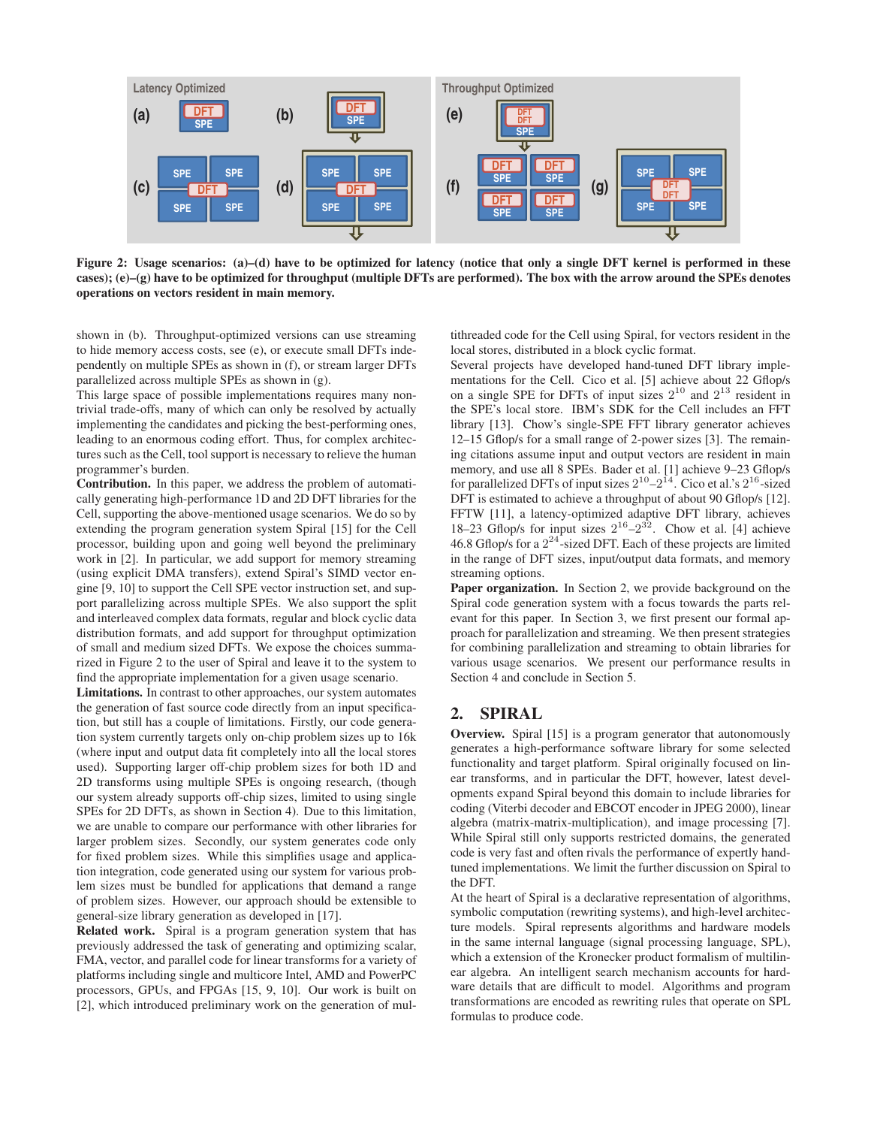

**Figure 2: Usage scenarios: (a)–(d) have to be optimized for latency (notice that only a single DFT kernel is performed in these cases); (e)–(g) have to be optimized for throughput (multiple DFTs are performed). The box with the arrow around the SPEs denotes operations on vectors resident in main memory.**

shown in (b). Throughput-optimized versions can use streaming to hide memory access costs, see (e), or execute small DFTs independently on multiple SPEs as shown in (f), or stream larger DFTs parallelized across multiple SPEs as shown in (g).

This large space of possible implementations requires many nontrivial trade-offs, many of which can only be resolved by actually implementing the candidates and picking the best-performing ones, leading to an enormous coding effort. Thus, for complex architectures such as the Cell, tool support is necessary to relieve the human programmer's burden.

**Contribution.** In this paper, we address the problem of automatically generating high-performance 1D and 2D DFT libraries for the Cell, supporting the above-mentioned usage scenarios. We do so by extending the program generation system Spiral [15] for the Cell processor, building upon and going well beyond the preliminary work in [2]. In particular, we add support for memory streaming (using explicit DMA transfers), extend Spiral's SIMD vector engine [9, 10] to support the Cell SPE vector instruction set, and support parallelizing across multiple SPEs. We also support the split and interleaved complex data formats, regular and block cyclic data distribution formats, and add support for throughput optimization of small and medium sized DFTs. We expose the choices summarized in Figure 2 to the user of Spiral and leave it to the system to find the appropriate implementation for a given usage scenario.

**Limitations.** In contrast to other approaches, our system automates the generation of fast source code directly from an input specification, but still has a couple of limitations. Firstly, our code generation system currently targets only on-chip problem sizes up to 16k (where input and output data fit completely into all the local stores used). Supporting larger off-chip problem sizes for both 1D and 2D transforms using multiple SPEs is ongoing research, (though our system already supports off-chip sizes, limited to using single SPEs for 2D DFTs, as shown in Section 4). Due to this limitation, we are unable to compare our performance with other libraries for larger problem sizes. Secondly, our system generates code only for fixed problem sizes. While this simplifies usage and application integration, code generated using our system for various problem sizes must be bundled for applications that demand a range of problem sizes. However, our approach should be extensible to general-size library generation as developed in [17].

**Related work.** Spiral is a program generation system that has previously addressed the task of generating and optimizing scalar, FMA, vector, and parallel code for linear transforms for a variety of platforms including single and multicore Intel, AMD and PowerPC processors, GPUs, and FPGAs [15, 9, 10]. Our work is built on [2], which introduced preliminary work on the generation of multithreaded code for the Cell using Spiral, for vectors resident in the local stores, distributed in a block cyclic format.

Several projects have developed hand-tuned DFT library implementations for the Cell. Cico et al. [5] achieve about 22 Gflop/s on a single SPE for DFTs of input sizes  $2^{10}$  and  $2^{13}$  resident in the SPE's local store. IBM's SDK for the Cell includes an FFT library [13]. Chow's single-SPE FFT library generator achieves 12–15 Gflop/s for a small range of 2-power sizes [3]. The remaining citations assume input and output vectors are resident in main memory, and use all 8 SPEs. Bader et al. [1] achieve 9–23 Gflop/s for parallelized DFTs of input sizes  $2^{10} - 2^{14}$ . Cico et al.'s  $2^{16}$ -sized DFT is estimated to achieve a throughput of about 90 Gflop/s [12]. FFTW [11], a latency-optimized adaptive DFT library, achieves 18–23 Gflop/s for input sizes  $2^{16} - 2^{32}$ . Chow et al. [4] achieve 46.8 Gflop/s for a  $2^{24}$ -sized DFT. Each of these projects are limited in the range of DFT sizes, input/output data formats, and memory streaming options.

Paper organization. In Section 2, we provide background on the Spiral code generation system with a focus towards the parts relevant for this paper. In Section 3, we first present our formal approach for parallelization and streaming. We then present strategies for combining parallelization and streaming to obtain libraries for various usage scenarios. We present our performance results in Section 4 and conclude in Section 5.

## **2. SPIRAL**

**Overview.** Spiral [15] is a program generator that autonomously generates a high-performance software library for some selected functionality and target platform. Spiral originally focused on linear transforms, and in particular the DFT, however, latest developments expand Spiral beyond this domain to include libraries for coding (Viterbi decoder and EBCOT encoder in JPEG 2000), linear algebra (matrix-matrix-multiplication), and image processing [7]. While Spiral still only supports restricted domains, the generated code is very fast and often rivals the performance of expertly handtuned implementations. We limit the further discussion on Spiral to the DFT.

At the heart of Spiral is a declarative representation of algorithms, symbolic computation (rewriting systems), and high-level architecture models. Spiral represents algorithms and hardware models in the same internal language (signal processing language, SPL), which a extension of the Kronecker product formalism of multilinear algebra. An intelligent search mechanism accounts for hardware details that are difficult to model. Algorithms and program transformations are encoded as rewriting rules that operate on SPL formulas to produce code.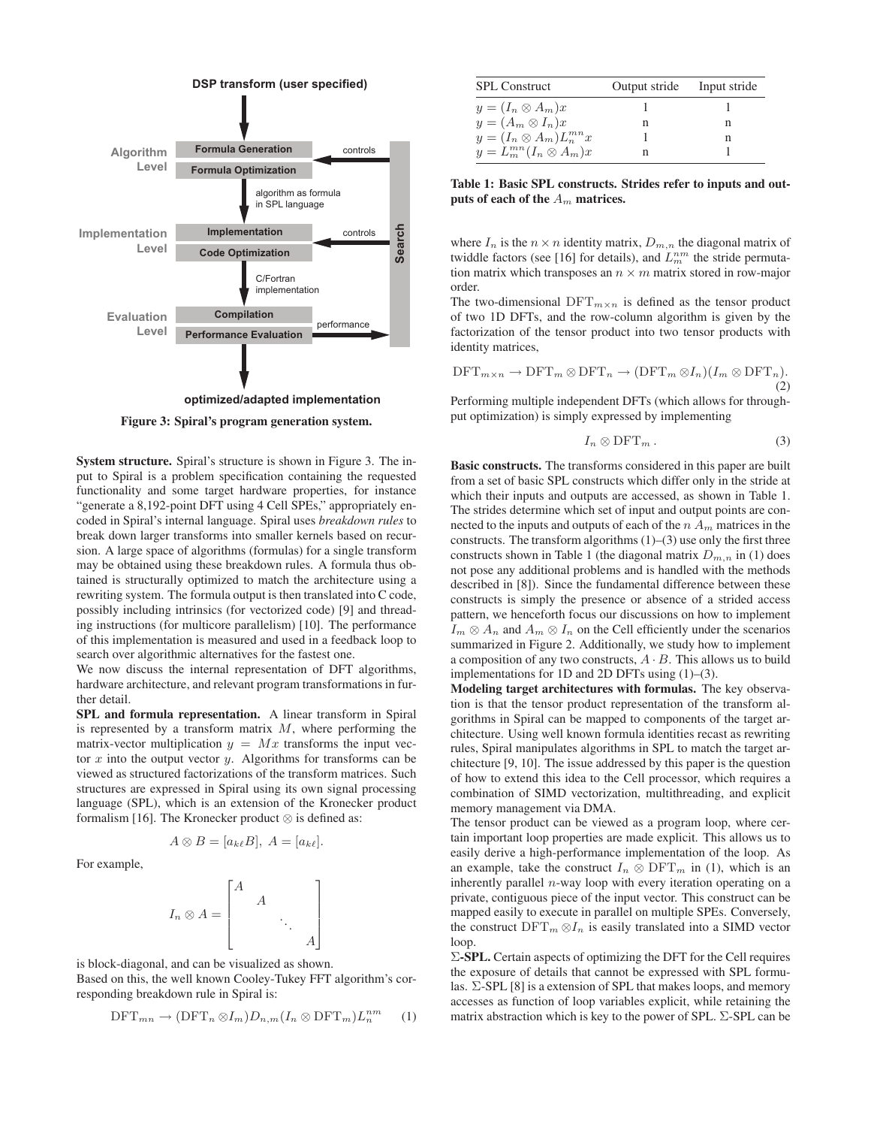

**Figure 3: Spiral's program generation system.**

**System structure.** Spiral's structure is shown in Figure 3. The input to Spiral is a problem specification containing the requested functionality and some target hardware properties, for instance "generate a 8,192-point DFT using 4 Cell SPEs," appropriately encoded in Spiral's internal language. Spiral uses *breakdown rules* to break down larger transforms into smaller kernels based on recursion. A large space of algorithms (formulas) for a single transform may be obtained using these breakdown rules. A formula thus obtained is structurally optimized to match the architecture using a rewriting system. The formula output is then translated into C code, possibly including intrinsics (for vectorized code) [9] and threading instructions (for multicore parallelism) [10]. The performance of this implementation is measured and used in a feedback loop to search over algorithmic alternatives for the fastest one.

We now discuss the internal representation of DFT algorithms, hardware architecture, and relevant program transformations in further detail.

**SPL and formula representation.** A linear transform in Spiral is represented by a transform matrix  $M$ , where performing the matrix-vector multiplication  $y = Mx$  transforms the input vector  $x$  into the output vector  $y$ . Algorithms for transforms can be viewed as structured factorizations of the transform matrices. Such structures are expressed in Spiral using its own signal processing language (SPL), which is an extension of the Kronecker product formalism [16]. The Kronecker product  $\otimes$  is defined as:

$$
A \otimes B = [a_{k\ell}B], A = [a_{k\ell}].
$$

For example,

$$
I_n \otimes A = \begin{bmatrix} A & & & \\ & A & & \\ & & \ddots & \\ & & & A \end{bmatrix}
$$

is block-diagonal, and can be visualized as shown. Based on this, the well known Cooley-Tukey FFT algorithm's corresponding breakdown rule in Spiral is:

$$
\text{DFT}_{mn} \to (\text{DFT}_n \otimes I_m) D_{n,m} (I_n \otimes \text{DFT}_m) L_n^{nm} \qquad (1)
$$

| <b>SPL Construct</b>               | Output stride Input stride |   |
|------------------------------------|----------------------------|---|
| $y=(I_n\otimes A_m)x$              |                            |   |
| $y = (A_m \otimes I_n)x$           | n                          | n |
| $y = (I_n \otimes A_m) L_n^{mn} x$ |                            | n |
| $y = L_m^{mn}(I_n \otimes A_m)x$   | n                          |   |

**Table 1: Basic SPL constructs. Strides refer to inputs and outputs of each of the** A<sup>m</sup> **matrices.**

where  $I_n$  is the  $n \times n$  identity matrix,  $D_{m,n}$  the diagonal matrix of twiddle factors (see [16] for details), and  $L_m^{nm}$  the stride permutation matrix which transposes an  $n \times m$  matrix stored in row-major order.

The two-dimensional  $\text{DFT}_{m \times n}$  is defined as the tensor product of two 1D DFTs, and the row-column algorithm is given by the factorization of the tensor product into two tensor products with identity matrices,

$$
\text{DFT}_{m \times n} \to \text{DFT}_m \otimes \text{DFT}_n \to (\text{DFT}_m \otimes I_n)(I_m \otimes \text{DFT}_n).
$$
\n(2)

Performing multiple independent DFTs (which allows for throughput optimization) is simply expressed by implementing

$$
I_n \otimes \text{DFT}_m \,. \tag{3}
$$

**Basic constructs.** The transforms considered in this paper are built from a set of basic SPL constructs which differ only in the stride at which their inputs and outputs are accessed, as shown in Table 1. The strides determine which set of input and output points are connected to the inputs and outputs of each of the  $n A<sub>m</sub>$  matrices in the constructs. The transform algorithms  $(1)$ – $(3)$  use only the first three constructs shown in Table 1 (the diagonal matrix  $D_{m,n}$  in (1) does not pose any additional problems and is handled with the methods described in [8]). Since the fundamental difference between these constructs is simply the presence or absence of a strided access pattern, we henceforth focus our discussions on how to implement  $I_m \otimes A_n$  and  $A_m \otimes I_n$  on the Cell efficiently under the scenarios summarized in Figure 2. Additionally, we study how to implement a composition of any two constructs,  $A \cdot B$ . This allows us to build implementations for 1D and 2D DFTs using (1)–(3).

**Modeling target architectures with formulas.** The key observation is that the tensor product representation of the transform algorithms in Spiral can be mapped to components of the target architecture. Using well known formula identities recast as rewriting rules, Spiral manipulates algorithms in SPL to match the target architecture [9, 10]. The issue addressed by this paper is the question of how to extend this idea to the Cell processor, which requires a combination of SIMD vectorization, multithreading, and explicit memory management via DMA.

The tensor product can be viewed as a program loop, where certain important loop properties are made explicit. This allows us to easily derive a high-performance implementation of the loop. As an example, take the construct  $I_n \otimes \text{DFT}_m$  in (1), which is an inherently parallel  $n$ -way loop with every iteration operating on a private, contiguous piece of the input vector. This construct can be mapped easily to execute in parallel on multiple SPEs. Conversely, the construct  $\text{DFT}_m \otimes I_n$  is easily translated into a SIMD vector loop.

Σ**-SPL.** Certain aspects of optimizing the DFT for the Cell requires the exposure of details that cannot be expressed with SPL formulas. Σ-SPL [8] is a extension of SPL that makes loops, and memory accesses as function of loop variables explicit, while retaining the matrix abstraction which is key to the power of SPL. Σ-SPL can be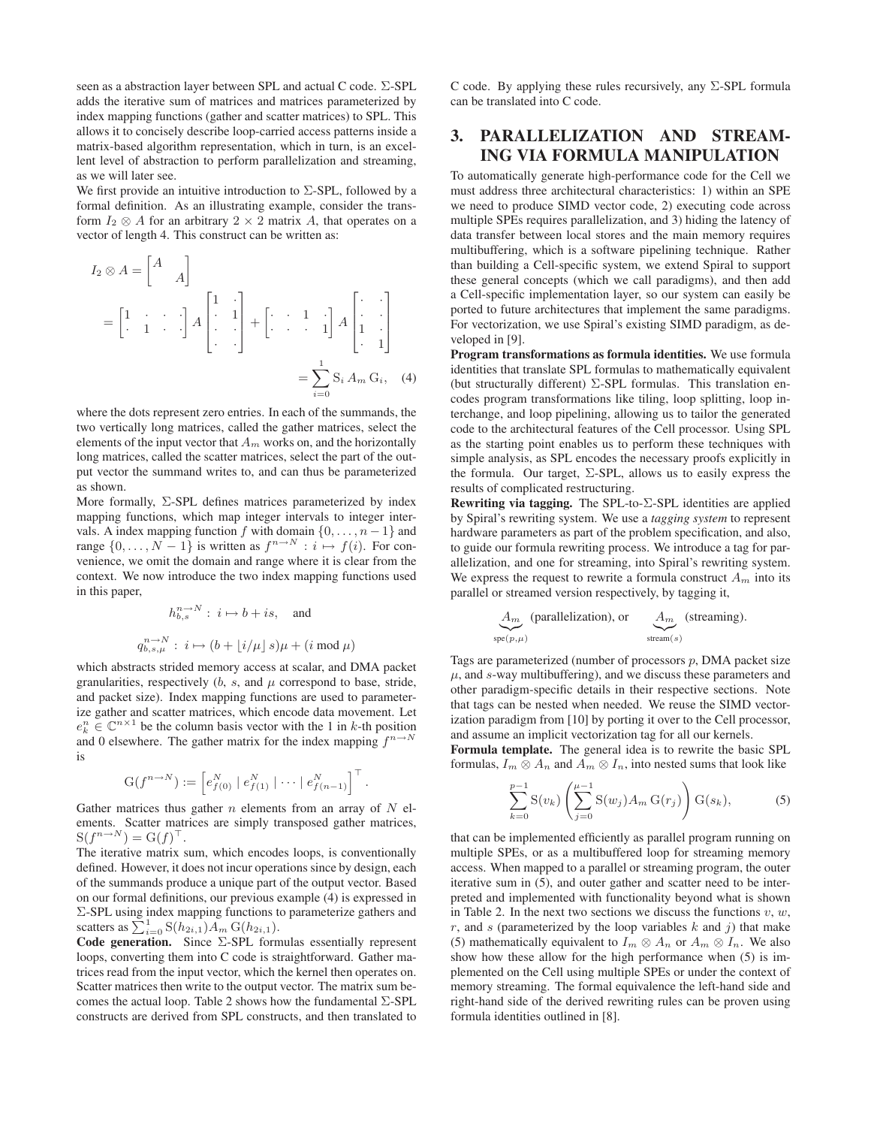seen as a abstraction layer between SPL and actual C code. Σ-SPL adds the iterative sum of matrices and matrices parameterized by index mapping functions (gather and scatter matrices) to SPL. This allows it to concisely describe loop-carried access patterns inside a matrix-based algorithm representation, which in turn, is an excellent level of abstraction to perform parallelization and streaming, as we will later see.

We first provide an intuitive introduction to  $\Sigma$ -SPL, followed by a formal definition. As an illustrating example, consider the transform  $I_2 \otimes A$  for an arbitrary  $2 \times 2$  matrix A, that operates on a vector of length 4. This construct can be written as:

$$
I_2 \otimes A = \begin{bmatrix} A \\ & A \end{bmatrix}
$$
  
=  $\begin{bmatrix} 1 & \cdot & \cdot \\ & 1 & \cdot & \cdot \end{bmatrix} A \begin{bmatrix} 1 & \cdot \\ \cdot & 1 \\ \cdot & \cdot & \cdot \end{bmatrix} + \begin{bmatrix} \cdot & \cdot & 1 & \cdot \\ \cdot & \cdot & \cdot & 1 \end{bmatrix} A \begin{bmatrix} \cdot & \cdot \\ 1 & \cdot \\ \cdot & 1 \end{bmatrix}$   
=  $\sum_{i=0}^{1} S_i A_m G_i$ , (4)

where the dots represent zero entries. In each of the summands, the two vertically long matrices, called the gather matrices, select the elements of the input vector that  $A_m$  works on, and the horizontally long matrices, called the scatter matrices, select the part of the output vector the summand writes to, and can thus be parameterized as shown.

More formally, Σ-SPL defines matrices parameterized by index mapping functions, which map integer intervals to integer intervals. A index mapping function f with domain  $\{0, \ldots, n-1\}$  and range  $\{0, \ldots, N-1\}$  is written as  $f^{n \to N} : i \mapsto f(i)$ . For convenience, we omit the domain and range where it is clear from the context. We now introduce the two index mapping functions used in this paper,

$$
h_{b,s}^{n \to N} : i \mapsto b + is, \text{ and}
$$
  

$$
q_{b,s,\mu}^{n \to N} : i \mapsto (b + \lfloor i/\mu \rfloor s)\mu + (i \mod \mu)
$$

which abstracts strided memory access at scalar, and DMA packet granularities, respectively  $(b, s, \text{ and } \mu \text{ correspond to base, stride, }$ and packet size). Index mapping functions are used to parameterize gather and scatter matrices, which encode data movement. Let  $e_k^n \in \mathbb{C}^{n \times 1}$  be the column basis vector with the 1 in k-th position and 0 elsewhere. The gather matrix for the index mapping  $f^{n \to N}$ is

$$
G(f^{n \to N}) := \left[ e_{f(0)}^N \mid e_{f(1)}^N \mid \cdots \mid e_{f(n-1)}^N \right]^\top
$$

.

Gather matrices thus gather  $n$  elements from an array of  $N$  elements. Scatter matrices are simply transposed gather matrices,  $S(f^{n\to N}) = G(f)^{\top}.$ 

The iterative matrix sum, which encodes loops, is conventionally defined. However, it does not incur operations since by design, each of the summands produce a unique part of the output vector. Based on our formal definitions, our previous example (4) is expressed in Σ-SPL using index mapping functions to parameterize gathers and scatters as  $\sum_{i=0}^{1} S(h_{2i,1}) A_m G(h_{2i,1}).$ 

**Code generation.** Since Σ-SPL formulas essentially represent loops, converting them into C code is straightforward. Gather matrices read from the input vector, which the kernel then operates on. Scatter matrices then write to the output vector. The matrix sum becomes the actual loop. Table 2 shows how the fundamental Σ-SPL constructs are derived from SPL constructs, and then translated to

C code. By applying these rules recursively, any  $\Sigma$ -SPL formula can be translated into C code.

# **3. PARALLELIZATION AND STREAM-ING VIA FORMULA MANIPULATION**

To automatically generate high-performance code for the Cell we must address three architectural characteristics: 1) within an SPE we need to produce SIMD vector code, 2) executing code across multiple SPEs requires parallelization, and 3) hiding the latency of data transfer between local stores and the main memory requires multibuffering, which is a software pipelining technique. Rather than building a Cell-specific system, we extend Spiral to support these general concepts (which we call paradigms), and then add a Cell-specific implementation layer, so our system can easily be ported to future architectures that implement the same paradigms. For vectorization, we use Spiral's existing SIMD paradigm, as developed in [9].

**Program transformations as formula identities.** We use formula identities that translate SPL formulas to mathematically equivalent (but structurally different) Σ-SPL formulas. This translation encodes program transformations like tiling, loop splitting, loop interchange, and loop pipelining, allowing us to tailor the generated code to the architectural features of the Cell processor. Using SPL as the starting point enables us to perform these techniques with simple analysis, as SPL encodes the necessary proofs explicitly in the formula. Our target,  $\Sigma$ -SPL, allows us to easily express the results of complicated restructuring.

**Rewriting via tagging.** The SPL-to-Σ-SPL identities are applied by Spiral's rewriting system. We use a *tagging system* to represent hardware parameters as part of the problem specification, and also, to guide our formula rewriting process. We introduce a tag for parallelization, and one for streaming, into Spiral's rewriting system. We express the request to rewrite a formula construct  $A_m$  into its parallel or streamed version respectively, by tagging it,

$$
\underbrace{A_m}_{\text{spe}(p,\mu)} \text{ (parallelization), or } \underbrace{A_m}_{\text{stream}(s)} \text{ (streaming).}
$$

Tags are parameterized (number of processors  $p$ , DMA packet size  $\mu$ , and s-way multibuffering), and we discuss these parameters and other paradigm-specific details in their respective sections. Note that tags can be nested when needed. We reuse the SIMD vectorization paradigm from [10] by porting it over to the Cell processor, and assume an implicit vectorization tag for all our kernels.

**Formula template.** The general idea is to rewrite the basic SPL formulas,  $I_m \otimes A_n$  and  $A_m \otimes I_n$ , into nested sums that look like

$$
\sum_{k=0}^{p-1} S(v_k) \left( \sum_{j=0}^{\mu-1} S(w_j) A_m G(r_j) \right) G(s_k),
$$
 (5)

that can be implemented efficiently as parallel program running on multiple SPEs, or as a multibuffered loop for streaming memory access. When mapped to a parallel or streaming program, the outer iterative sum in (5), and outer gather and scatter need to be interpreted and implemented with functionality beyond what is shown in Table 2. In the next two sections we discuss the functions  $v, w$ , r, and s (parameterized by the loop variables  $k$  and  $j$ ) that make (5) mathematically equivalent to  $I_m \otimes A_n$  or  $A_m \otimes I_n$ . We also show how these allow for the high performance when (5) is implemented on the Cell using multiple SPEs or under the context of memory streaming. The formal equivalence the left-hand side and right-hand side of the derived rewriting rules can be proven using formula identities outlined in [8].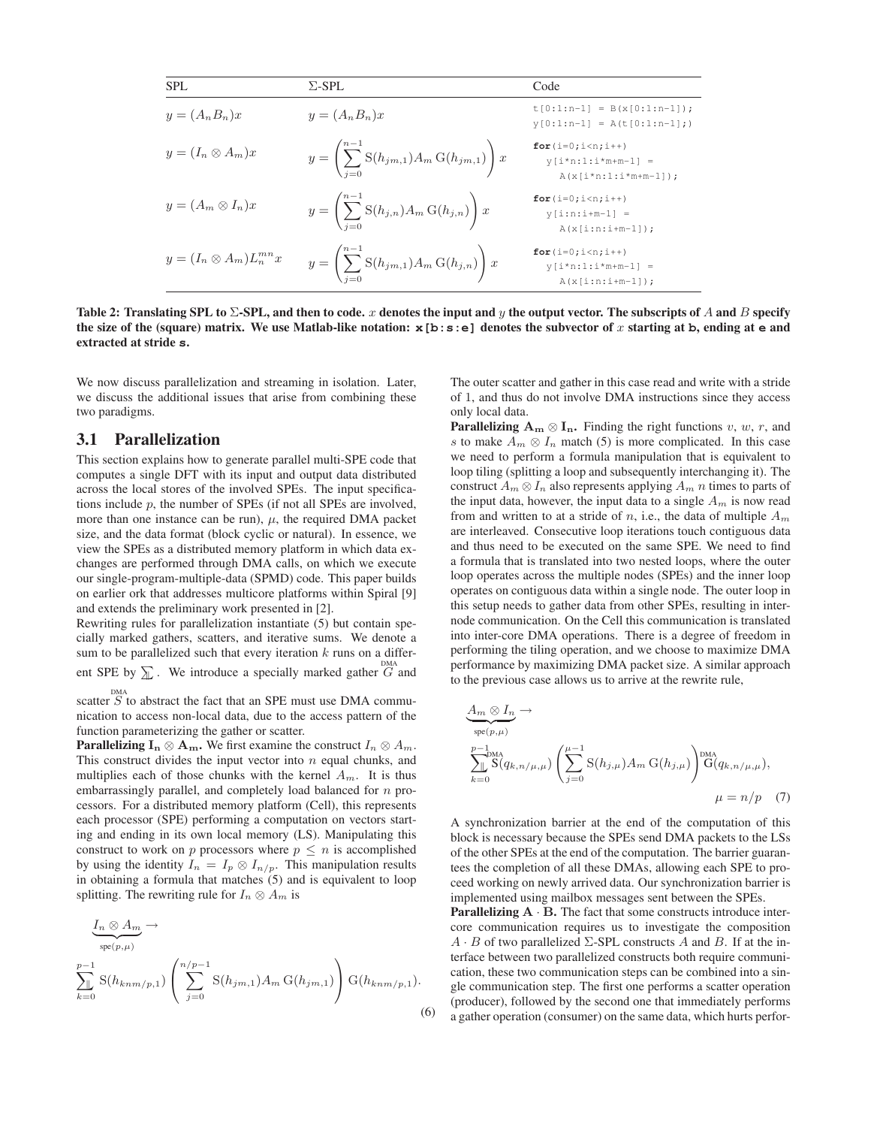| SPL.                               | $\Sigma$ -SPL                                                     | Code                                                                          |
|------------------------------------|-------------------------------------------------------------------|-------------------------------------------------------------------------------|
| $y=(A_nB_n)x$                      | $y=(A_nB_n)x$                                                     | $t[0:1:n-1] = B(x[0:1:n-1])$ ;<br>$y[0:1:n-1] = A(t[0:1:n-1])$                |
| $y=(I_n\otimes A_m)x$              | $y = \left(\sum_{i=0}^{n-1} S(h_{jm,1}) A_m G(h_{jm,1})\right) x$ | $for(i=0; i < n; i++)$<br>$v[i*m:1:i*m+m-1] =$<br>$A(x[i*n:1:i*m+m-1]);$      |
| $y=(A_m\otimes I_n)x$              | $y = \left(\sum_{i=0}^{n-1} S(h_{j,n}) A_m G(h_{j,n})\right) x$   | $for(i=0; i < n; i++)$<br>$v[i:n:i+m-1] =$<br>$A(x[i:n:i+m-1]);$              |
| $y = (I_n \otimes A_m) L_n^{mn} x$ | $y = \left(\sum_{i=0}^{n-1} S(h_{jm,1}) A_m G(h_{j,n})\right) x$  | $for(i=0; i < n; i++)$<br>$y[i * n: 1:i * m + m - 1] =$<br>$A(x[i:n:i+m-1]);$ |

**Table 2: Translating SPL to** Σ**-SPL, and then to code.** x **denotes the input and** y **the output vector. The subscripts of** A **and** B **specify the size of the (square) matrix. We use Matlab-like notation: x[b:s:e] denotes the subvector of** x **starting at b, ending at e and extracted at stride s.**

We now discuss parallelization and streaming in isolation. Later, we discuss the additional issues that arise from combining these two paradigms.

#### **3.1 Parallelization**

This section explains how to generate parallel multi-SPE code that computes a single DFT with its input and output data distributed across the local stores of the involved SPEs. The input specifications include p, the number of SPEs (if not all SPEs are involved, more than one instance can be run),  $\mu$ , the required DMA packet size, and the data format (block cyclic or natural). In essence, we view the SPEs as a distributed memory platform in which data exchanges are performed through DMA calls, on which we execute our single-program-multiple-data (SPMD) code. This paper builds on earlier ork that addresses multicore platforms within Spiral [9] and extends the preliminary work presented in [2].

Rewriting rules for parallelization instantiate (5) but contain specially marked gathers, scatters, and iterative sums. We denote a sum to be parallelized such that every iteration  $k$  runs on a different SPE by  $\Sigma$ . We introduce a specially marked gather  $\overline{G}$  and

scatter  $\overline{S}$  to abstract the fact that an SPE must use DMA communication to access non-local data, due to the access pattern of the function parameterizing the gather or scatter.

**Parallelizing**  $I_n \otimes A_m$ . We first examine the construct  $I_n \otimes A_m$ . This construct divides the input vector into  $n$  equal chunks, and multiplies each of those chunks with the kernel  $A_m$ . It is thus embarrassingly parallel, and completely load balanced for  $n$  processors. For a distributed memory platform (Cell), this represents each processor (SPE) performing a computation on vectors starting and ending in its own local memory (LS). Manipulating this construct to work on p processors where  $p \leq n$  is accomplished by using the identity  $I_n = I_p \otimes I_{n/p}$ . This manipulation results in obtaining a formula that matches (5) and is equivalent to loop splitting. The rewriting rule for  $I_n \otimes A_m$  is

$$
\underbrace{I_n \otimes A_m}_{\text{spe}(p,\mu)} \to
$$
\n
$$
\sum_{k=0}^{p-1} \mathcal{S}(h_{kmm/p,1}) \left( \sum_{j=0}^{n/p-1} \mathcal{S}(h_{jm,1}) A_m \mathcal{G}(h_{jm,1}) \right) \mathcal{G}(h_{kmm/p,1}).
$$
\n(6)

The outer scatter and gather in this case read and write with a stride of 1, and thus do not involve DMA instructions since they access only local data.

**Parallelizing**  $A_m \otimes I_n$ . Finding the right functions v, w, r, and s to make  $A_m \otimes I_n$  match (5) is more complicated. In this case we need to perform a formula manipulation that is equivalent to loop tiling (splitting a loop and subsequently interchanging it). The construct  $A_m \otimes I_n$  also represents applying  $A_m$  n times to parts of the input data, however, the input data to a single  $A_m$  is now read from and written to at a stride of n, i.e., the data of multiple  $A_m$ are interleaved. Consecutive loop iterations touch contiguous data and thus need to be executed on the same SPE. We need to find a formula that is translated into two nested loops, where the outer loop operates across the multiple nodes (SPEs) and the inner loop operates on contiguous data within a single node. The outer loop in this setup needs to gather data from other SPEs, resulting in internode communication. On the Cell this communication is translated into inter-core DMA operations. There is a degree of freedom in performing the tiling operation, and we choose to maximize DMA performance by maximizing DMA packet size. A similar approach to the previous case allows us to arrive at the rewrite rule,

$$
\underline{A_m \otimes I_n}_{\text{spec}(p,\mu)} \rightarrow
$$
\n
$$
\sum_{k=0}^{p-1} \sum_{k=0}^{n} \mathcal{S}(q_{k,n/\mu,\mu}) \left(\sum_{j=0}^{\mu-1} \mathcal{S}(h_{j,\mu}) A_m \mathcal{G}(h_{j,\mu})\right)^{\text{DMA}} \mathcal{G}(q_{k,n/\mu,\mu}),
$$
\n
$$
\mu = n/p \quad (7)
$$

A synchronization barrier at the end of the computation of this block is necessary because the SPEs send DMA packets to the LSs of the other SPEs at the end of the computation. The barrier guarantees the completion of all these DMAs, allowing each SPE to proceed working on newly arrived data. Our synchronization barrier is implemented using mailbox messages sent between the SPEs.

**Parallelizing**  $A \cdot B$ . The fact that some constructs introduce intercore communication requires us to investigate the composition  $A \cdot B$  of two parallelized  $\Sigma$ -SPL constructs A and B. If at the interface between two parallelized constructs both require communication, these two communication steps can be combined into a single communication step. The first one performs a scatter operation (producer), followed by the second one that immediately performs a gather operation (consumer) on the same data, which hurts perfor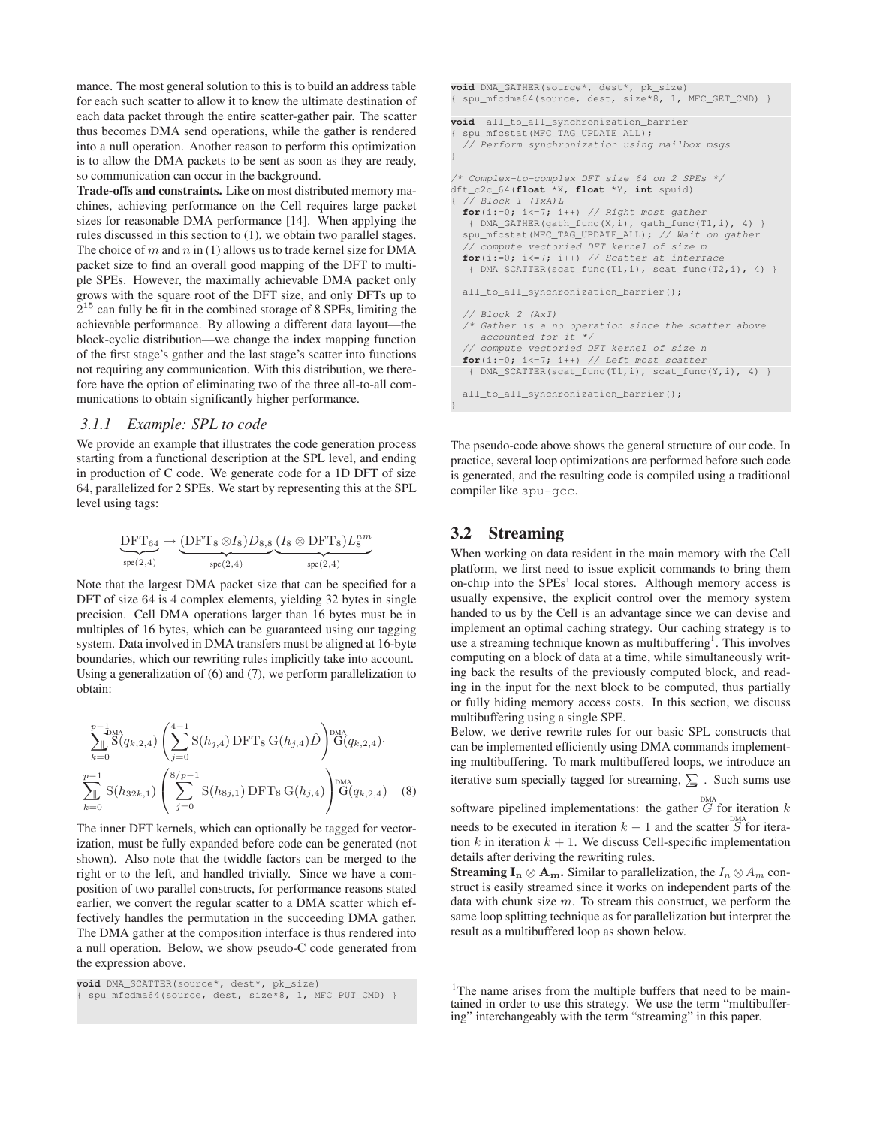mance. The most general solution to this is to build an address table for each such scatter to allow it to know the ultimate destination of each data packet through the entire scatter-gather pair. The scatter thus becomes DMA send operations, while the gather is rendered into a null operation. Another reason to perform this optimization is to allow the DMA packets to be sent as soon as they are ready, so communication can occur in the background.

**Trade-offs and constraints.** Like on most distributed memory machines, achieving performance on the Cell requires large packet sizes for reasonable DMA performance [14]. When applying the rules discussed in this section to (1), we obtain two parallel stages. The choice of  $m$  and  $n$  in (1) allows us to trade kernel size for DMA packet size to find an overall good mapping of the DFT to multiple SPEs. However, the maximally achievable DMA packet only grows with the square root of the DFT size, and only DFTs up to  $2^{15}$  can fully be fit in the combined storage of 8 SPEs, limiting the achievable performance. By allowing a different data layout—the block-cyclic distribution—we change the index mapping function of the first stage's gather and the last stage's scatter into functions not requiring any communication. With this distribution, we therefore have the option of eliminating two of the three all-to-all communications to obtain significantly higher performance.

#### *3.1.1 Example: SPL to code*

We provide an example that illustrates the code generation process starting from a functional description at the SPL level, and ending in production of C code. We generate code for a 1D DFT of size 64, parallelized for 2 SPEs. We start by representing this at the SPL level using tags:

$$
\underbrace{\mathrm{DFT}_{64}}_{\mathrm{spe}(2,4)} \rightarrow \underbrace{(\mathrm{DFT}_8 \otimes I_8)D_{8,8}}_{\mathrm{spe}(2,4)} \underbrace{(I_8 \otimes \mathrm{DFT}_8)L_8^{nm}}_{\mathrm{spe}(2,4)}
$$

Note that the largest DMA packet size that can be specified for a DFT of size 64 is 4 complex elements, yielding 32 bytes in single precision. Cell DMA operations larger than 16 bytes must be in multiples of 16 bytes, which can be guaranteed using our tagging system. Data involved in DMA transfers must be aligned at 16-byte boundaries, which our rewriting rules implicitly take into account. Using a generalization of (6) and (7), we perform parallelization to obtain:

$$
\sum_{k=0}^{p-1} \mathbf{S}(q_{k,2,4}) \left( \sum_{j=0}^{4-1} \mathbf{S}(h_{j,4}) \, \text{DFT}_8 \, \mathbf{G}(h_{j,4}) \hat{D} \right)^{\text{DMA}} \mathbf{G}(q_{k,2,4}).
$$
\n
$$
\sum_{k=0}^{p-1} \mathbf{S}(h_{32k,1}) \left( \sum_{j=0}^{8/p-1} \mathbf{S}(h_{8j,1}) \, \text{DFT}_8 \, \mathbf{G}(h_{j,4}) \right)^{\text{DMA}} \mathbf{G}(q_{k,2,4}) \quad (8)
$$

The inner DFT kernels, which can optionally be tagged for vectorization, must be fully expanded before code can be generated (not shown). Also note that the twiddle factors can be merged to the right or to the left, and handled trivially. Since we have a composition of two parallel constructs, for performance reasons stated earlier, we convert the regular scatter to a DMA scatter which effectively handles the permutation in the succeeding DMA gather. The DMA gather at the composition interface is thus rendered into a null operation. Below, we show pseudo-C code generated from the expression above.

```
void DMA_SCATTER(source*, dest*, pk_size)
 spu_mfcdma64(source, dest, size*8, 1, MFC_PUT_CMD) }
```

```
void DMA_GATHER(source*, dest*, pk_size)
{ spu_mfcdma64(source, dest, size*8, 1, MFC_GET_CMD) }
void all_to_all_synchronization_barrier
{ spu_mfcstat(MFC_TAG_UPDATE_ALL);
  // Perform synchronization using mailbox msgs
}
/* Complex-to-complex DFT size 64 on 2 SPEs */
dft_c2c_64(float *X, float *Y, int spuid)
  // Block 1 (IXA)Lfor(i:=0; i<=7; i++) // Right most gather
  { DMA_GATHER(gath_func(X,i), gath_func(T1,i), 4) }
spu_mfcstat(MFC_TAG_UPDATE_ALL); // Wait on gather
   // compute vectoried DFT kernel of size m
  for(i:=0; i<=7; i++) // Scatter at interface
   { DMA_SCATTER(scat_func(T1,i), scat_func(T2,i), 4) }
  all_to_all_synchronization_barrier();
  // Block 2 (AxI)
  /* Gather is a no operation since the scatter above
     accounted for it */
  // compute vectoried DFT kernel of size n
  for(i:=0; i<=7; i++) // Left most scatter
   { DMA_SCATTER(scat_func(T1,i), scat_func(Y,i), 4) }
  all_to_all_synchronization_barrier();
```
The pseudo-code above shows the general structure of our code. In practice, several loop optimizations are performed before such code is generated, and the resulting code is compiled using a traditional compiler like spu-gcc.

## **3.2 Streaming**

}

When working on data resident in the main memory with the Cell platform, we first need to issue explicit commands to bring them on-chip into the SPEs' local stores. Although memory access is usually expensive, the explicit control over the memory system handed to us by the Cell is an advantage since we can devise and implement an optimal caching strategy. Our caching strategy is to use a streaming technique known as multibuffering<sup>1</sup>. This involves computing on a block of data at a time, while simultaneously writing back the results of the previously computed block, and reading in the input for the next block to be computed, thus partially or fully hiding memory access costs. In this section, we discuss multibuffering using a single SPE.

Below, we derive rewrite rules for our basic SPL constructs that can be implemented efficiently using DMA commands implementing multibuffering. To mark multibuffered loops, we introduce an iterative sum specially tagged for streaming,  $\sum$  . Such sums use

software pipelined implementations: the gather  $\hat{G}$  for iteration  $k$ needs to be executed in iteration  $k-1$  and the scatter S for iteration k in iteration  $k + 1$ . We discuss Cell-specific implementation details after deriving the rewriting rules.

**Streaming**  $I_n \otimes A_m$ . Similar to parallelization, the  $I_n \otimes A_m$  construct is easily streamed since it works on independent parts of the data with chunk size  $m$ . To stream this construct, we perform the same loop splitting technique as for parallelization but interpret the result as a multibuffered loop as shown below.

<sup>&</sup>lt;sup>1</sup>The name arises from the multiple buffers that need to be maintained in order to use this strategy. We use the term "multibuffering" interchangeably with the term "streaming" in this paper.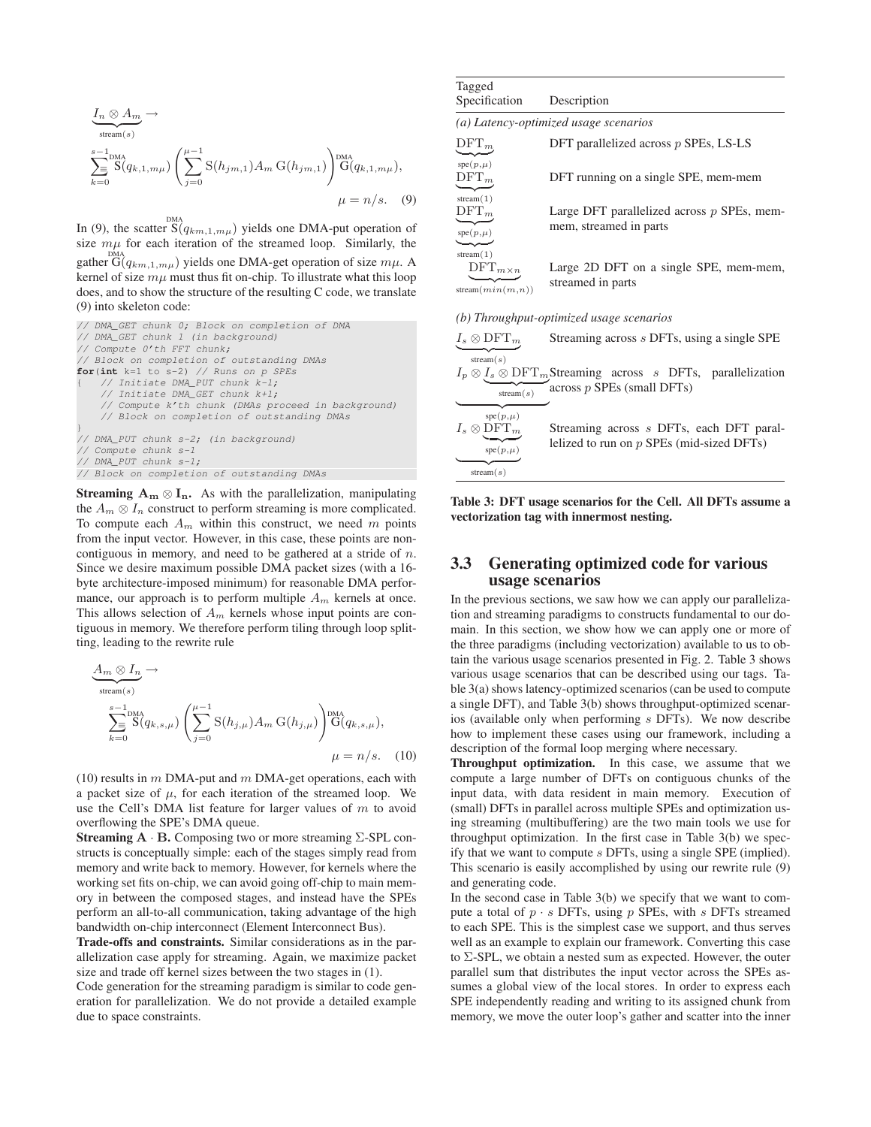$$
\underbrace{I_n \otimes A_m}_{\text{stream}(s)} \rightarrow
$$
\n
$$
\sum_{k=0}^{s-1} \mathbf{S}(q_{k,1,m\mu}) \left( \sum_{j=0}^{\mu-1} \mathbf{S}(h_{jm,1}) A_m \mathbf{G}(h_{jm,1}) \right) \mathbf{M}(q_{k,1,m\mu}),
$$
\n
$$
\mu = n/s. \quad (9)
$$

In (9), the scatter  $\mathcal{S}(q_{km,1,m\mu})$  yields one DMA-put operation of size  $m\mu$  for each iteration of the streamed loop. Similarly, the gather  $\mathbf{G}(q_{km,1,m\mu})$  yields one DMA-get operation of size  $m\mu$ . A kernel of size  $m\mu$  must thus fit on-chip. To illustrate what this loop does, and to show the structure of the resulting C code, we translate (9) into skeleton code:

```
// DMA_GET chunk 0; Block on completion of DMA
// DMA_GET chunk 1 (in background)
// Compute 0'th FFT chunk;
// Block on completion of outstanding DMAs
for(int k=1 to s-2) // Runs on p SPEs
    // Initiate DMA_PUT chunk k-1;
    // Initiate DMA_GET chunk k+1;
    // Compute k'th chunk (DMAs proceed in background)
    // Block on completion of outstanding DMAs
}
// DMA_PUT chunk s-2; (in background)
// Compute chunk s-1
// DMA_PUT chunk s-1;
// Block on completion of outstanding DMAs
```
**Streaming**  $A_m \otimes I_n$ . As with the parallelization, manipulating the  $A_m \otimes I_n$  construct to perform streaming is more complicated. To compute each  $A_m$  within this construct, we need  $m$  points from the input vector. However, in this case, these points are noncontiguous in memory, and need to be gathered at a stride of  $n$ . Since we desire maximum possible DMA packet sizes (with a 16 byte architecture-imposed minimum) for reasonable DMA performance, our approach is to perform multiple  $A_m$  kernels at once. This allows selection of  $A_m$  kernels whose input points are contiguous in memory. We therefore perform tiling through loop splitting, leading to the rewrite rule

$$
\underline{A_m \otimes I_n}_{\text{stream}(s)} \rightarrow
$$
\n
$$
\sum_{k=0}^{s-1} \mathcal{S}(q_{k,s,\mu}) \left( \sum_{j=0}^{\mu-1} \mathcal{S}(h_{j,\mu}) A_m \mathcal{G}(h_{j,\mu}) \right) \mathcal{S}(q_{k,s,\mu}),
$$
\n
$$
\mu = n/s. \quad (10)
$$

(10) results in  $m$  DMA-put and  $m$  DMA-get operations, each with a packet size of  $\mu$ , for each iteration of the streamed loop. We use the Cell's DMA list feature for larger values of  $m$  to avoid overflowing the SPE's DMA queue.

**Streaming** A · B**.** Composing two or more streaming Σ-SPL constructs is conceptually simple: each of the stages simply read from memory and write back to memory. However, for kernels where the working set fits on-chip, we can avoid going off-chip to main memory in between the composed stages, and instead have the SPEs perform an all-to-all communication, taking advantage of the high bandwidth on-chip interconnect (Element Interconnect Bus).

**Trade-offs and constraints.** Similar considerations as in the parallelization case apply for streaming. Again, we maximize packet size and trade off kernel sizes between the two stages in (1).

Code generation for the streaming paradigm is similar to code generation for parallelization. We do not provide a detailed example due to space constraints.

| Tagged<br>Specification                                           | Description                                                            |
|-------------------------------------------------------------------|------------------------------------------------------------------------|
|                                                                   | (a) Latency-optimized usage scenarios                                  |
| $\text{DFT}_m$                                                    | DFT parallelized across $p$ SPEs, LS-LS                                |
| $\text{spe}(p,\mu)$<br>$\text{DFT}_m$                             | DFT running on a single SPE, mem-mem                                   |
| stream $(1)$<br>$\text{DFT}_m$<br>$\text{spe}(p,\mu)$             | Large DFT parallelized across $p$ SPEs, mem-<br>mem, streamed in parts |
| stream $(1)$<br>$\text{DFT}_{m \times n}$<br>stream $(min(m, n))$ | Large 2D DFT on a single SPE, mem-mem,<br>streamed in parts            |

*(b) Throughput-optimized usage scenarios*

| $I_s \otimes \mathrm{DFT}_m$ | Streaming across s DFTs, using a single SPE                                     |
|------------------------------|---------------------------------------------------------------------------------|
| stream $(s)$                 | $I_p \otimes I_s \otimes \text{DFT}_m$ Streaming across s DFTs, parallelization |
| stream $(s)$                 | across p SPEs (small DFTs)                                                      |
| $\text{spe}(p,\mu)$          | Streaming across s DFTs, each DFT paral-                                        |
| $I_s \otimes \mathrm{DFT}_m$ | lelized to run on $p$ SPEs (mid-sized DFTs)                                     |
| $spe(p,\mu)$<br>stream $(s)$ |                                                                                 |

**Table 3: DFT usage scenarios for the Cell. All DFTs assume a vectorization tag with innermost nesting.**

#### **3.3 Generating optimized code for various usage scenarios**

In the previous sections, we saw how we can apply our parallelization and streaming paradigms to constructs fundamental to our domain. In this section, we show how we can apply one or more of the three paradigms (including vectorization) available to us to obtain the various usage scenarios presented in Fig. 2. Table 3 shows various usage scenarios that can be described using our tags. Table 3(a) shows latency-optimized scenarios (can be used to compute a single DFT), and Table 3(b) shows throughput-optimized scenarios (available only when performing s DFTs). We now describe how to implement these cases using our framework, including a description of the formal loop merging where necessary.

**Throughput optimization.** In this case, we assume that we compute a large number of DFTs on contiguous chunks of the input data, with data resident in main memory. Execution of (small) DFTs in parallel across multiple SPEs and optimization using streaming (multibuffering) are the two main tools we use for throughput optimization. In the first case in Table 3(b) we specify that we want to compute s DFTs, using a single SPE (implied). This scenario is easily accomplished by using our rewrite rule (9) and generating code.

In the second case in Table 3(b) we specify that we want to compute a total of  $p \cdot s$  DFTs, using p SPEs, with s DFTs streamed to each SPE. This is the simplest case we support, and thus serves well as an example to explain our framework. Converting this case to Σ-SPL, we obtain a nested sum as expected. However, the outer parallel sum that distributes the input vector across the SPEs assumes a global view of the local stores. In order to express each SPE independently reading and writing to its assigned chunk from memory, we move the outer loop's gather and scatter into the inner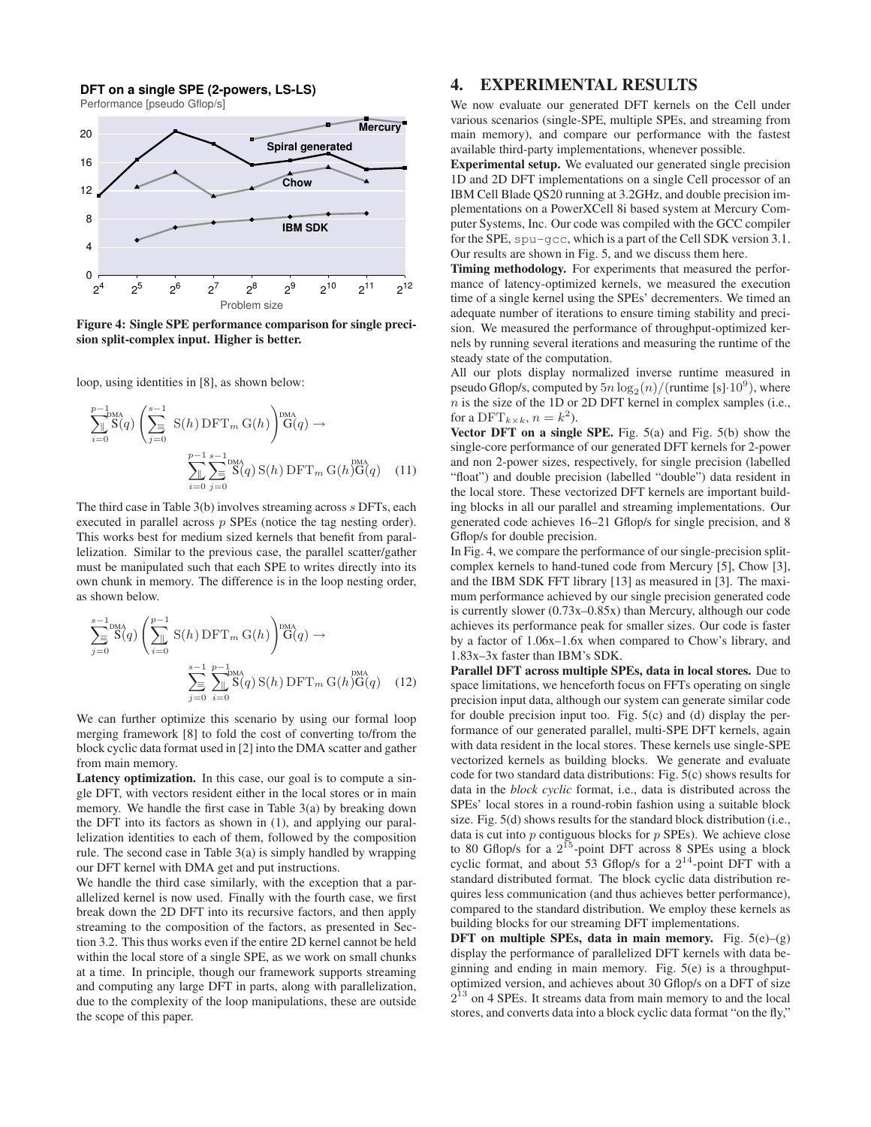**DFT on a single SPE (2-powers, LS-LS)**

Performance [pseudo Gflop/s]



**Figure 4: Single SPE performance comparison for single precision split-complex input. Higher is better.**

loop, using identities in [8], as shown below:

$$
\sum_{i=0}^{p-1} S(q) \left( \sum_{j=0}^{s-1} S(h) \, \text{DFT}_m \, G(h) \right) G(q) \to
$$
\n
$$
\sum_{i=0}^{p-1} \sum_{j=0}^{s-1} S(q) S(h) \, \text{DFT}_m \, G(h) G(q) \tag{11}
$$

The third case in Table 3(b) involves streaming across s DFTs, each executed in parallel across p SPEs (notice the tag nesting order). This works best for medium sized kernels that benefit from parallelization. Similar to the previous case, the parallel scatter/gather must be manipulated such that each SPE to writes directly into its own chunk in memory. The difference is in the loop nesting order, as shown below.

$$
\sum_{j=0}^{s-1} S(q) \left( \sum_{i=0}^{p-1} S(h) \, \text{DFT}_m \, G(h) \right) \stackrel{\text{DMA}}{\longrightarrow} G(q) \to
$$
\n
$$
\sum_{j=0}^{s-1} \sum_{i=0}^{p-1} S(q) \, S(h) \, \text{DFT}_m \, G(h) \stackrel{\text{DMA}}{\longrightarrow} G(q) \quad (12)
$$

We can further optimize this scenario by using our formal loop merging framework [8] to fold the cost of converting to/from the block cyclic data format used in [2] into the DMA scatter and gather from main memory.

**Latency optimization.** In this case, our goal is to compute a single DFT, with vectors resident either in the local stores or in main memory. We handle the first case in Table 3(a) by breaking down the DFT into its factors as shown in (1), and applying our parallelization identities to each of them, followed by the composition rule. The second case in Table 3(a) is simply handled by wrapping our DFT kernel with DMA get and put instructions.

We handle the third case similarly, with the exception that a parallelized kernel is now used. Finally with the fourth case, we first break down the 2D DFT into its recursive factors, and then apply streaming to the composition of the factors, as presented in Section 3.2. This thus works even if the entire 2D kernel cannot be held within the local store of a single SPE, as we work on small chunks at a time. In principle, though our framework supports streaming and computing any large DFT in parts, along with parallelization, due to the complexity of the loop manipulations, these are outside the scope of this paper.

#### **4. EXPERIMENTAL RESULTS**

We now evaluate our generated DFT kernels on the Cell under various scenarios (single-SPE, multiple SPEs, and streaming from main memory), and compare our performance with the fastest available third-party implementations, whenever possible.

**Experimental setup.** We evaluated our generated single precision 1D and 2D DFT implementations on a single Cell processor of an IBM Cell Blade QS20 running at 3.2GHz, and double precision implementations on a PowerXCell 8i based system at Mercury Computer Systems, Inc. Our code was compiled with the GCC compiler for the SPE, spu-gcc, which is a part of the Cell SDK version 3.1. Our results are shown in Fig. 5, and we discuss them here.

**Timing methodology.** For experiments that measured the performance of latency-optimized kernels, we measured the execution time of a single kernel using the SPEs' decrementers. We timed an adequate number of iterations to ensure timing stability and precision. We measured the performance of throughput-optimized kernels by running several iterations and measuring the runtime of the steady state of the computation.

All our plots display normalized inverse runtime measured in pseudo Gflop/s, computed by  $5n\log_2(n)/(\text{runtime [s]} \cdot 10^9)$ , where  $n$  is the size of the 1D or 2D DFT kernel in complex samples (i.e., for a DFT $_{k\times k}$ ,  $n = k^2$ ).

**Vector DFT on a single SPE.** Fig. 5(a) and Fig. 5(b) show the single-core performance of our generated DFT kernels for 2-power and non 2-power sizes, respectively, for single precision (labelled "float") and double precision (labelled "double") data resident in the local store. These vectorized DFT kernels are important building blocks in all our parallel and streaming implementations. Our generated code achieves 16–21 Gflop/s for single precision, and 8 Gflop/s for double precision.

In Fig. 4, we compare the performance of our single-precision splitcomplex kernels to hand-tuned code from Mercury [5], Chow [3], and the IBM SDK FFT library [13] as measured in [3]. The maximum performance achieved by our single precision generated code is currently slower (0.73x–0.85x) than Mercury, although our code achieves its performance peak for smaller sizes. Our code is faster by a factor of 1.06x–1.6x when compared to Chow's library, and 1.83x–3x faster than IBM's SDK.

**Parallel DFT across multiple SPEs, data in local stores.** Due to space limitations, we henceforth focus on FFTs operating on single precision input data, although our system can generate similar code for double precision input too. Fig. 5(c) and (d) display the performance of our generated parallel, multi-SPE DFT kernels, again with data resident in the local stores. These kernels use single-SPE vectorized kernels as building blocks. We generate and evaluate code for two standard data distributions: Fig. 5(c) shows results for data in the *block cyclic* format, i.e., data is distributed across the SPEs' local stores in a round-robin fashion using a suitable block size. Fig. 5(d) shows results for the standard block distribution (i.e., data is cut into  $p$  contiguous blocks for  $p$  SPEs). We achieve close to 80 Gflop/s for a  $2^{15}$ -point DFT across 8 SPEs using a block cyclic format, and about 53 Gflop/s for a  $2^{14}$ -point DFT with a standard distributed format. The block cyclic data distribution requires less communication (and thus achieves better performance), compared to the standard distribution. We employ these kernels as building blocks for our streaming DFT implementations.

**DFT** on multiple SPEs, data in main memory. Fig.  $5(e)$ – $(g)$ display the performance of parallelized DFT kernels with data beginning and ending in main memory. Fig. 5(e) is a throughputoptimized version, and achieves about 30 Gflop/s on a DFT of size  $2<sup>13</sup>$  on 4 SPEs. It streams data from main memory to and the local stores, and converts data into a block cyclic data format "on the fly,"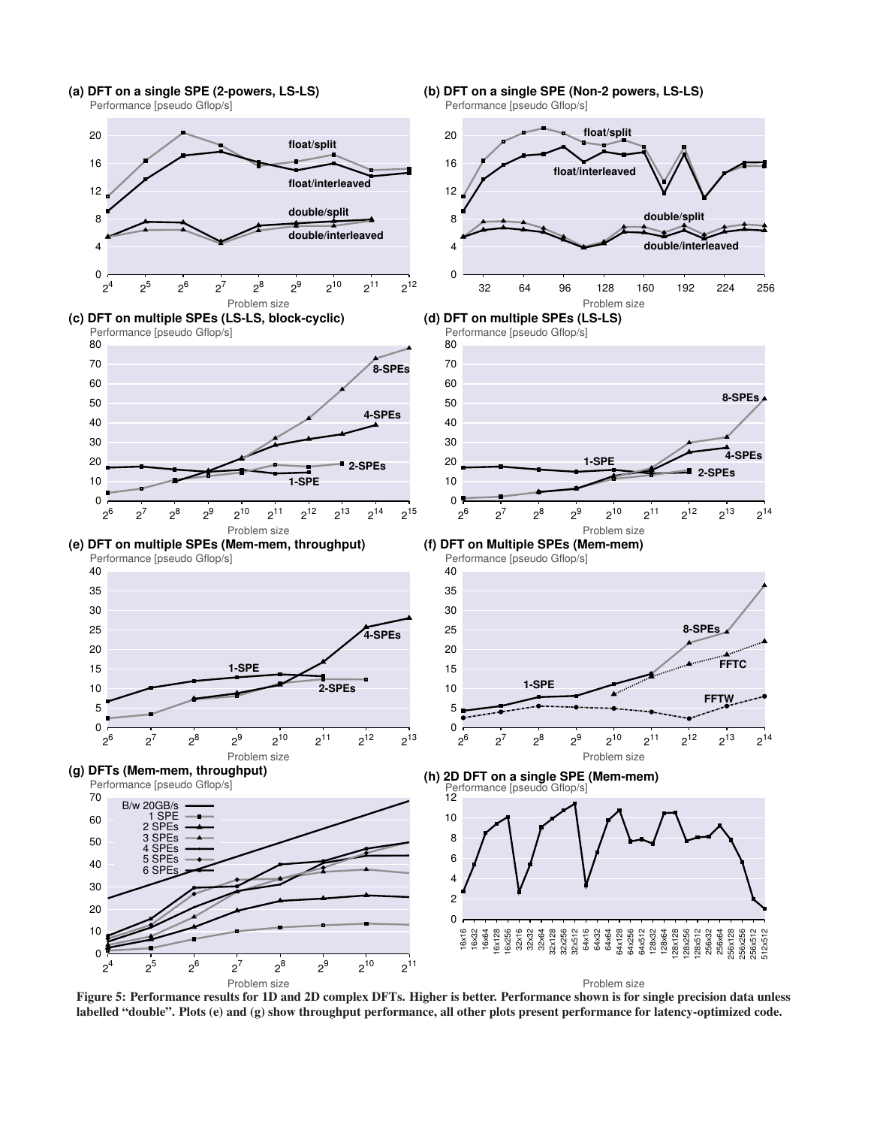**(a) DFT on a single SPE (2-powers, LS-LS)**

Performance [pseudo Gflop/s]







**(e) DFT on multiple SPEs (Mem-mem, throughput)** Performance [pseudo Gflop/s]

6

7

8

9

**1-SPE**

Problem size

<sup>10</sup> 2

 $2^{12}$  2

**4-SPEs**

**2-SPEs**









Performance [pseudo Gflop/s]



**(f) DFT on Multiple SPEs (Mem-mem)**

Performance [pseudo Gflop/s]







 $2^{13}$ 

**Figure 5: Performance results for 1D and 2D complex DFTs. Higher is better. Performance shown is for single precision data unless labelled "double". Plots (e) and (g) show throughput performance, all other plots present performance for latency-optimized code.**